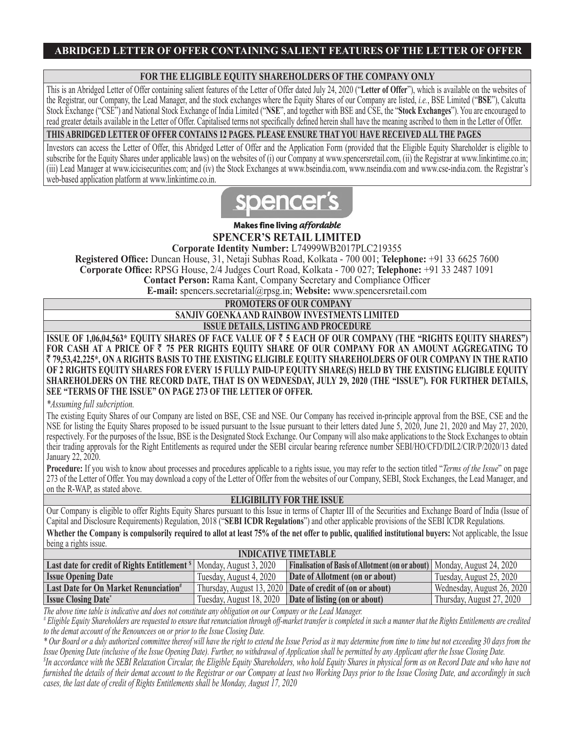## **FOR THE ELIGIBLE EQUITY SHAREHOLDERS OF THE COMPANY ONLY**

This is an Abridged Letter of Offer containing salient features of the Letter of Offer dated July 24, 2020 ("**Letter of Offer**"), which is available on the websites of the Registrar, our Company, the Lead Manager, and the stock exchanges where the Equity Shares of our Company are listed, *i.e.*, BSE Limited ("**BSE**"), Calcutta Stock Exchange ("CSE") and National Stock Exchange of India Limited ("**NSE**", and together with BSE and CSE, the "**Stock Exchanges**"). You are encouraged to read greater details available in the Letter of Offer. Capitalised terms not specifically defined herein shall have the meaning ascribed to them in the Letter of Offer.

## **THIS ABRIDGED LETTER OF OFFER CONTAINS 12 PAGES. PLEASE ENSURE THAT YOU HAVE RECEIVED ALL THE PAGES**

Investors can access the Letter of Offer, this Abridged Letter of Offer and the Application Form (provided that the Eligible Equity Shareholder is eligible to subscribe for the Equity Shares under applicable laws) on the websites of (i) our Company at www.spencersretail.com, (ii) the Registrar at www.linkintime.co.in; (iii) Lead Manager at www.icicisecurities.com; and (iv) the Stock Exchanges at www.bseindia.com, www.nseindia.com and www.cse-india.com. the Registrar's web-based application platform at www.linkintime.co.in.



**Makes fine living affordable SPENCER'S RETAIL LIMITED**

**Corporate Identity Number:** L74999WB2017PLC219355

**Registered Office:** Duncan House, 31, Netaji Subhas Road, Kolkata - 700 001; **Telephone:** +91 33 6625 7600 **Corporate Office:** RPSG House, 2/4 Judges Court Road, Kolkata - 700 027; **Telephone:** +91 33 2487 1091 **Contact Person:** Rama Kant, Company Secretary and Compliance Officer **E-mail:** spencers.secretarial@rpsg.in; **Website:** www.spencersretail.com

> **PROMOTERS OF OUR COMPANY SANJIV GOENKA AND RAINBOW INVESTMENTS LIMITED ISSUE DETAILS, LISTING AND PROCEDURE**

**ISSUE OF 1,06,04,563\* EQUITY SHARES OF FACE VALUE OF** ` **5 EACH OF OUR COMPANY (THE "RIGHTS EQUITY SHARES") FOR CASH AT A PRICE OF** ` **75 PER RIGHTS EQUITY SHARE OF OUR COMPANY FOR AN AMOUNT AGGREGATING TO**  ` **79,53,42,225\*, ON A RIGHTS BASIS TO THE EXISTING ELIGIBLE EQUITY SHAREHOLDERS OF OUR COMPANY IN THE RATIO OF 2 RIGHTS EQUITY SHARES FOR EVERY 15 FULLY PAID-UP EQUITY SHARE(S) HELD BY THE EXISTING ELIGIBLE EQUITY SHAREHOLDERS ON THE RECORD DATE, THAT IS ON WEDNESDAY, JULY 29, 2020 (THE "ISSUE"). FOR FURTHER DETAILS, SEE "TERMS OF THE ISSUE" ON PAGE 273 OF THE LETTER OF OFFER.** 

*\*Assuming full subcription.*

The existing Equity Shares of our Company are listed on BSE, CSE and NSE. Our Company has received in-principle approval from the BSE, CSE and the NSE for listing the Equity Shares proposed to be issued pursuant to the Issue pursuant to their letters dated June 5, 2020, June 21, 2020 and May 27, 2020, respectively. For the purposes of the Issue, BSE is the Designated Stock Exchange. Our Company will also make applications to the Stock Exchanges to obtain their trading approvals for the Right Entitlements as required under the SEBI circular bearing reference number SEBI/HO/CFD/DIL2/CIR/P/2020/13 dated January 22, 2020.

**Procedure:** If you wish to know about processes and procedures applicable to a rights issue, you may refer to the section titled "*Terms of the Issue*" on page 273 of the Letter of Offer. You may download a copy of the Letter of Offer from the websites of our Company, SEBI, Stock Exchanges, the Lead Manager, and on the R-WAP, as stated above.

**ELIGIBILITY FOR THE ISSUE**

Our Company is eligible to offer Rights Equity Shares pursuant to this Issue in terms of Chapter III of the Securities and Exchange Board of India (Issue of Capital and Disclosure Requirements) Regulation, 2018 ("**SEBI ICDR Regulations**") and other applicable provisions of the SEBI ICDR Regulations. **Whether the Company is compulsorily required to allot at least 75% of the net offer to public, qualified institutional buyers:** Not applicable, the Issue being a rights issue.

| <b>INDICATIVE TIMETABLE</b>                                                      |                         |                                                                                 |                            |  |  |
|----------------------------------------------------------------------------------|-------------------------|---------------------------------------------------------------------------------|----------------------------|--|--|
| Last date for credit of Rights Entitlement <sup>s</sup>   Monday, August 3, 2020 |                         | <b>Finalisation of Basis of Allotment (on or about)</b> Monday, August 24, 2020 |                            |  |  |
| <b>Issue Opening Date</b>                                                        | Tuesday, August 4, 2020 | Date of Allotment (on or about)                                                 | Tuesday, August 25, 2020   |  |  |
| Last Date for On Market Renunciation <sup>#</sup>                                |                         | Thursday, August 13, 2020 <b>Date of credit of (on or about)</b>                | Wednesday, August 26, 2020 |  |  |
| <b>Issue Closing Date*</b>                                                       |                         | Tuesday, August 18, 2020   Date of listing (on or about)                        | Thursday, August 27, 2020  |  |  |

*The above time table is indicative and does not constitute any obligation on our Company or the Lead Manager.*

*# Eligible Equity Shareholders are requested to ensure that renunciation through off-market transfer is completed in such a manner that the Rights Entitlements are credited to the demat account of the Renouncees on or prior to the Issue Closing Date.*

*\* Our Board or a duly authorized committee thereof will have the right to extend the Issue Period as it may determine from time to time but not exceeding 30 days from the Issue Opening Date (inclusive of the Issue Opening Date). Further, no withdrawal of Application shall be permitted by any Applicant after the Issue Closing Date.*

*\$ In accordance with the SEBI Relaxation Circular, the Eligible Equity Shareholders, who hold Equity Shares in physical form as on Record Date and who have not furnished the details of their demat account to the Registrar or our Company at least two Working Days prior to the Issue Closing Date, and accordingly in such cases, the last date of credit of Rights Entitlements shall be Monday, August 17, 2020*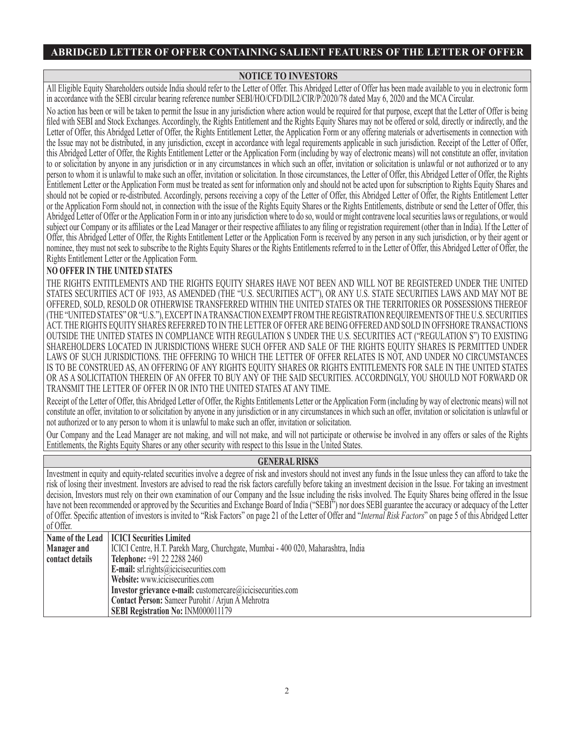## **NOTICE TO INVESTORS**

All Eligible Equity Shareholders outside India should refer to the Letter of Offer. This Abridged Letter of Offer has been made available to you in electronic form in accordance with the SEBI circular bearing reference number SEBI/HO/CFD/DIL2/CIR/P/2020/78 dated May 6, 2020 and the MCA Circular.

No action has been or will be taken to permit the Issue in any jurisdiction where action would be required for that purpose, except that the Letter of Offer is being filed with SEBI and Stock Exchanges. Accordingly, the Rights Entitlement and the Rights Equity Shares may not be offered or sold, directly or indirectly, and the Letter of Offer, this Abridged Letter of Offer, the Rights Entitlement Letter, the Application Form or any offering materials or advertisements in connection with the Issue may not be distributed, in any jurisdiction, except in accordance with legal requirements applicable in such jurisdiction. Receipt of the Letter of Offer, this Abridged Letter of Offer, the Rights Entitlement Letter or the Application Form (including by way of electronic means) will not constitute an offer, invitation to or solicitation by anyone in any jurisdiction or in any circumstances in which such an offer, invitation or solicitation is unlawful or not authorized or to any person to whom it is unlawful to make such an offer, invitation or solicitation. In those circumstances, the Letter of Offer, this Abridged Letter of Offer, the Rights Entitlement Letter or the Application Form must be treated as sent for information only and should not be acted upon for subscription to Rights Equity Shares and should not be copied or re-distributed. Accordingly, persons receiving a copy of the Letter of Offer, this Abridged Letter of Offer, the Rights Entitlement Letter or the Application Form should not, in connection with the issue of the Rights Equity Shares or the Rights Entitlements, distribute or send the Letter of Offer, this Abridged Letter of Offer or the Application Form in or into any jurisdiction where to do so, would or might contravene local securities laws or regulations, or would subject our Company or its affiliates or the Lead Manager or their respective affiliates to any filing or registration requirement (other than in India). If the Letter of Offer, this Abridged Letter of Offer, the Rights Entitlement Letter or the Application Form is received by any person in any such jurisdiction, or by their agent or nominee, they must not seek to subscribe to the Rights Equity Shares or the Rights Entitlements referred to in the Letter of Offer, this Abridged Letter of Offer, the Rights Entitlement Letter or the Application Form.

## **NO OFFER IN THE UNITED STATES**

THE RIGHTS ENTITLEMENTS AND THE RIGHTS EQUITY SHARES HAVE NOT BEEN AND WILL NOT BE REGISTERED UNDER THE UNITED STATES SECURITIES ACT OF 1933, AS AMENDED (THE "U.S. SECURITIES ACT"), OR ANY U.S. STATE SECURITIES LAWS AND MAY NOT BE OFFERED, SOLD, RESOLD OR OTHERWISE TRANSFERRED WITHIN THE UNITED STATES OR THE TERRITORIES OR POSSESSIONS THEREOF (THE "UNITED STATES" OR "U.S."), EXCEPT IN A TRANSACTION EXEMPT FROM THE REGISTRATION REQUIREMENTS OF THE U.S. SECURITIES ACT. THE RIGHTS EQUITY SHARES REFERRED TO IN THE LETTER OF OFFER ARE BEING OFFERED AND SOLD IN OFFSHORE TRANSACTIONS OUTSIDE THE UNITED STATES IN COMPLIANCE WITH REGULATION S UNDER THE U.S. SECURITIES ACT ("REGULATION S") TO EXISTING SHAREHOLDERS LOCATED IN JURISDICTIONS WHERE SUCH OFFER AND SALE OF THE RIGHTS EQUITY SHARES IS PERMITTED UNDER LAWS OF SUCH JURISDICTIONS. THE OFFERING TO WHICH THE LETTER OF OFFER RELATES IS NOT, AND UNDER NO CIRCUMSTANCES IS TO BE CONSTRUED AS, AN OFFERING OF ANY RIGHTS EQUITY SHARES OR RIGHTS ENTITLEMENTS FOR SALE IN THE UNITED STATES OR AS A SOLICITATION THEREIN OF AN OFFER TO BUY ANY OF THE SAID SECURITIES. ACCORDINGLY, YOU SHOULD NOT FORWARD OR TRANSMIT THE LETTER OF OFFER IN OR INTO THE UNITED STATES AT ANY TIME.

Receipt of the Letter of Offer, this Abridged Letter of Offer, the Rights Entitlements Letter or the Application Form (including by way of electronic means) will not constitute an offer, invitation to or solicitation by anyone in any jurisdiction or in any circumstances in which such an offer, invitation or solicitation is unlawful or not authorized or to any person to whom it is unlawful to make such an offer, invitation or solicitation.

Our Company and the Lead Manager are not making, and will not make, and will not participate or otherwise be involved in any offers or sales of the Rights Entitlements, the Rights Equity Shares or any other security with respect to this Issue in the United States.

## **GENERAL RISKS**

Investment in equity and equity-related securities involve a degree of risk and investors should not invest any funds in the Issue unless they can afford to take the risk of losing their investment. Investors are advised to read the risk factors carefully before taking an investment decision in the Issue. For taking an investment decision, Investors must rely on their own examination of our Company and the Issue including the risks involved. The Equity Shares being offered in the Issue have not been recommended or approved by the Securities and Exchange Board of India ("SEBI") nor does SEBI guarantee the accuracy or adequacy of the Letter of Offer. Specific attention of investors is invited to "Risk Factors" on page 21 of the Letter of Offer and "*Internal Risk Factors*" on page 5 of this Abridged Letter of Offer.

|                    | Name of the Lead   ICICI Securities Limited                                      |
|--------------------|----------------------------------------------------------------------------------|
| <b>Manager</b> and | ICICI Centre, H.T. Parekh Marg, Churchgate, Mumbai - 400 020, Maharashtra, India |
| contact details    | Telephone: +91 22 2288 2460                                                      |
|                    | E-mail: srl.rights@icicisecurities.com                                           |
|                    | Website: www.icicisecurities.com                                                 |
|                    | Investor grievance e-mail: customercare@icicisecurities.com                      |
|                    | Contact Person: Sameer Purohit / Arjun A Mehrotra                                |
|                    | <b>SEBI Registration No: INM000011179</b>                                        |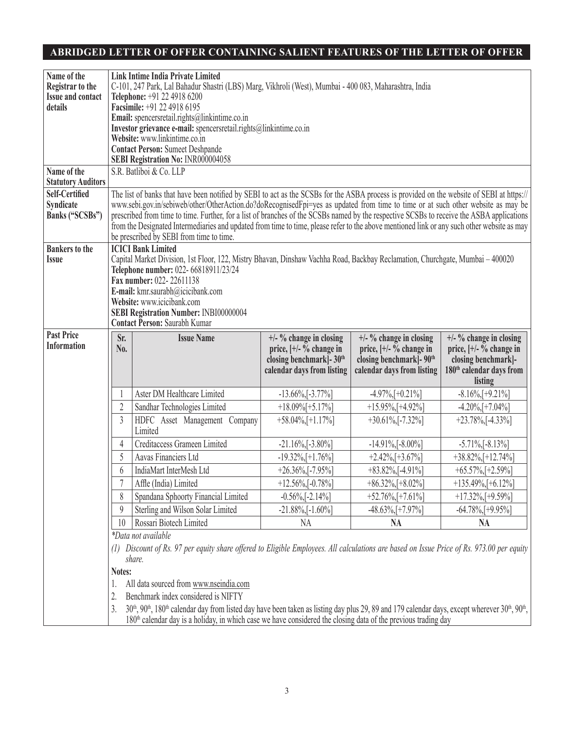| Name of the<br>Registrar to the<br>Issue and contact<br>details | Link Intime India Private Limited<br>C-101, 247 Park, Lal Bahadur Shastri (LBS) Marg, Vikhroli (West), Mumbai - 400 083, Maharashtra, India<br>Telephone: +91 22 4918 6200<br>Facsimile: +91 22 4918 6195<br>Email: spencersretail.rights@linkintime.co.in<br>Investor grievance e-mail: spencersretail.rights@linkintime.co.in<br>Website: www.linkintime.co.in<br><b>Contact Person: Sumeet Deshpande</b><br>SEBI Registration No: INR000004058 |                                                                                                                                                                                                                                                                                                                                                         |                                                                    |                                                                                |                                                             |
|-----------------------------------------------------------------|---------------------------------------------------------------------------------------------------------------------------------------------------------------------------------------------------------------------------------------------------------------------------------------------------------------------------------------------------------------------------------------------------------------------------------------------------|---------------------------------------------------------------------------------------------------------------------------------------------------------------------------------------------------------------------------------------------------------------------------------------------------------------------------------------------------------|--------------------------------------------------------------------|--------------------------------------------------------------------------------|-------------------------------------------------------------|
| Name of the<br><b>Statutory Auditors</b>                        |                                                                                                                                                                                                                                                                                                                                                                                                                                                   | S.R. Batliboi & Co. LLP                                                                                                                                                                                                                                                                                                                                 |                                                                    |                                                                                |                                                             |
| <b>Self-Certified</b>                                           |                                                                                                                                                                                                                                                                                                                                                                                                                                                   | The list of banks that have been notified by SEBI to act as the SCSBs for the ASBA process is provided on the website of SEBI at https://                                                                                                                                                                                                               |                                                                    |                                                                                |                                                             |
| <b>Syndicate</b>                                                |                                                                                                                                                                                                                                                                                                                                                                                                                                                   | www.sebi.gov.in/sebiweb/other/OtherAction.do?doRecognisedFpi=yes as updated from time to time or at such other website as may be                                                                                                                                                                                                                        |                                                                    |                                                                                |                                                             |
| Banks ("SCSBs")                                                 |                                                                                                                                                                                                                                                                                                                                                                                                                                                   | prescribed from time to time. Further, for a list of branches of the SCSBs named by the respective SCSBs to receive the ASBA applications<br>from the Designated Intermediaries and updated from time to time, please refer to the above mentioned link or any such other website as may                                                                |                                                                    |                                                                                |                                                             |
|                                                                 |                                                                                                                                                                                                                                                                                                                                                                                                                                                   | be prescribed by SEBI from time to time.                                                                                                                                                                                                                                                                                                                |                                                                    |                                                                                |                                                             |
| <b>Bankers</b> to the                                           |                                                                                                                                                                                                                                                                                                                                                                                                                                                   | <b>ICICI Bank Limited</b>                                                                                                                                                                                                                                                                                                                               |                                                                    |                                                                                |                                                             |
| <b>Issue</b>                                                    |                                                                                                                                                                                                                                                                                                                                                                                                                                                   | Capital Market Division, 1st Floor, 122, Mistry Bhavan, Dinshaw Vachha Road, Backbay Reclamation, Churchgate, Mumbai - 400020<br>Telephone number: 022- 66818911/23/24<br>Fax number: 022-22611138<br>E-mail: kmr.saurabh@icicibank.com<br>Website: www.icicibank.com<br>SEBI Registration Number: INBI00000004<br><b>Contact Person: Saurabh Kumar</b> |                                                                    |                                                                                |                                                             |
| <b>Past Price</b>                                               | Sr.                                                                                                                                                                                                                                                                                                                                                                                                                                               | <b>Issue Name</b>                                                                                                                                                                                                                                                                                                                                       | $+/-$ % change in closing                                          | $+/-$ % change in closing                                                      | $+/-$ % change in closing                                   |
| <b>Information</b>                                              | No.                                                                                                                                                                                                                                                                                                                                                                                                                                               |                                                                                                                                                                                                                                                                                                                                                         | price, $\left[\frac{+}{2}\right]$ of change in                     | price, $\left[\frac{+}{2}\right]$ change in                                    | price, $\left[\frac{+}{2}\right]$ of change in              |
|                                                                 |                                                                                                                                                                                                                                                                                                                                                                                                                                                   |                                                                                                                                                                                                                                                                                                                                                         | closing benchmark]- 30 <sup>th</sup><br>calendar days from listing | closing benchmark <sup>[</sup> -90 <sup>th</sup><br>calendar days from listing | closing benchmark]-<br>180 <sup>th</sup> calendar days from |
|                                                                 |                                                                                                                                                                                                                                                                                                                                                                                                                                                   | Aster DM Healthcare Limited                                                                                                                                                                                                                                                                                                                             | $-13.66\%$ , $[-3.77\%]$                                           | $-4.97\%, [+0.21\%]$                                                           | listing<br>$-8.16\%$ , [+9.21%]                             |
|                                                                 | $\overline{2}$                                                                                                                                                                                                                                                                                                                                                                                                                                    | Sandhar Technologies Limited                                                                                                                                                                                                                                                                                                                            | $+18.09\sqrt{+5.17\%}$                                             | $+15.95\%,$ [+4.92%]                                                           | $-4.20\%$ , [+7.04%]                                        |
|                                                                 | $\mathfrak{Z}$                                                                                                                                                                                                                                                                                                                                                                                                                                    | HDFC Asset Management Company<br>Limited                                                                                                                                                                                                                                                                                                                | $+58.04\%$ , [+1.17%]                                              | $+30.61\%$ , [-7.32%]                                                          | $+23.78\%$ , [-4.33%]                                       |
|                                                                 | $\overline{4}$                                                                                                                                                                                                                                                                                                                                                                                                                                    | Creditaccess Grameen Limited                                                                                                                                                                                                                                                                                                                            | $-21.16\%$ , $[-3.80\%]$                                           | $-14.91\%, [-8.00\%]$                                                          | $-5.71\%$ , $[-8.13\%]$                                     |
|                                                                 | 5                                                                                                                                                                                                                                                                                                                                                                                                                                                 | Aavas Financiers Ltd                                                                                                                                                                                                                                                                                                                                    | $-19.32\%,$ [+1.76%]                                               | $+2.42\%$ , [ $+3.67\%$ ]                                                      | $+38.82\%, +12.74\%$                                        |
|                                                                 | 6                                                                                                                                                                                                                                                                                                                                                                                                                                                 | IndiaMart InterMesh Ltd                                                                                                                                                                                                                                                                                                                                 | $+26.36\%$ , [-7.95%]                                              | $+83.82\%$ , [-4.91%]                                                          | $+65.57\%$ , [+2.59%]                                       |
|                                                                 | 7                                                                                                                                                                                                                                                                                                                                                                                                                                                 | Affle (India) Limited                                                                                                                                                                                                                                                                                                                                   | $+12.56\%$ , [-0.78%]                                              | $+86.32\%, [-8.02\%]$                                                          | $+135.49\%, [+6.12\%]$                                      |
|                                                                 | 8                                                                                                                                                                                                                                                                                                                                                                                                                                                 | Spandana Sphoorty Financial Limited                                                                                                                                                                                                                                                                                                                     | $-0.56\%$ , $[-2.14\%]$                                            | $+52.76\%$ , [+7.61%]                                                          | $+17.32\%$ , [+9.59%]                                       |
|                                                                 | 9                                                                                                                                                                                                                                                                                                                                                                                                                                                 | Sterling and Wilson Solar Limited                                                                                                                                                                                                                                                                                                                       | $-21.88\%$ , [ $-1.60\%$ ]                                         | $-48.63\%$ , [+7.97%]                                                          | $-64.78\%, [+9.95\%]$                                       |
|                                                                 | 10                                                                                                                                                                                                                                                                                                                                                                                                                                                | Rossari Biotech Limited                                                                                                                                                                                                                                                                                                                                 | <b>NA</b>                                                          | <b>NA</b>                                                                      | <b>NA</b>                                                   |
|                                                                 |                                                                                                                                                                                                                                                                                                                                                                                                                                                   | *Data not available<br>(1) Discount of Rs. 97 per equity share offered to Eligible Employees. All calculations are based on Issue Price of Rs. 973.00 per equity<br>share.                                                                                                                                                                              |                                                                    |                                                                                |                                                             |
|                                                                 | Notes:                                                                                                                                                                                                                                                                                                                                                                                                                                            |                                                                                                                                                                                                                                                                                                                                                         |                                                                    |                                                                                |                                                             |
|                                                                 | 1.                                                                                                                                                                                                                                                                                                                                                                                                                                                | All data sourced from www.nseindia.com                                                                                                                                                                                                                                                                                                                  |                                                                    |                                                                                |                                                             |
|                                                                 | 2.<br>3.                                                                                                                                                                                                                                                                                                                                                                                                                                          | Benchmark index considered is NIFTY<br>30 <sup>th</sup> , 90 <sup>th</sup> , 180 <sup>th</sup> calendar day from listed day have been taken as listing day plus 29, 89 and 179 calendar days, except wherever 30 <sup>th</sup> , 90 <sup>th</sup> ,                                                                                                     |                                                                    |                                                                                |                                                             |

180<sup>th</sup> calendar day is a holiday, in which case we have considered the closing data of the previous trading day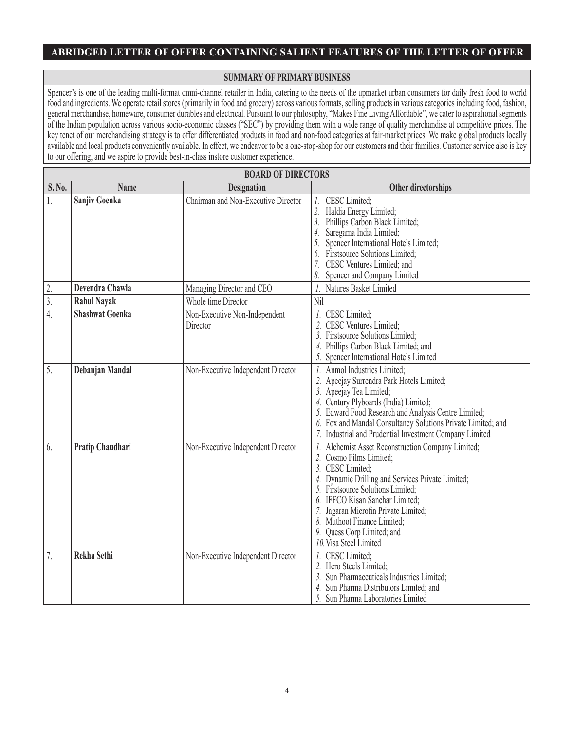#### **SUMMARY OF PRIMARY BUSINESS**

Spencer's is one of the leading multi-format omni-channel retailer in India, catering to the needs of the upmarket urban consumers for daily fresh food to world food and ingredients. We operate retail stores (primarily in food and grocery) across various formats, selling products in various categories including food, fashion, general merchandise, homeware, consumer durables and electrical. Pursuant to our philosophy, "Makes Fine Living Affordable", we cater to aspirational segments of the Indian population across various socio-economic classes ("SEC") by providing them with a wide range of quality merchandise at competitive prices. The key tenet of our merchandising strategy is to offer differentiated products in food and non-food categories at fair-market prices. We make global products locally available and local products conveniently available. In effect, we endeavor to be a one-stop-shop for our customers and their families. Customer service also is key to our offering, and we aspire to provide best-in-class instore customer experience.

|        | <b>BOARD OF DIRECTORS</b> |                                           |                                                                                                                                                                                                                                                                                                                                                               |  |  |
|--------|---------------------------|-------------------------------------------|---------------------------------------------------------------------------------------------------------------------------------------------------------------------------------------------------------------------------------------------------------------------------------------------------------------------------------------------------------------|--|--|
| S. No. | <b>Name</b>               | <b>Designation</b>                        | Other directorships                                                                                                                                                                                                                                                                                                                                           |  |  |
| 1.     | Sanjiv Goenka             | Chairman and Non-Executive Director       | 1. CESC Limited;<br>2. Haldia Energy Limited;<br>3. Phillips Carbon Black Limited;<br>Saregama India Limited;<br>$\overline{4}$ .<br>5. Spencer International Hotels Limited;<br>6. Firstsource Solutions Limited;<br>7. CESC Ventures Limited; and<br>Spencer and Company Limited                                                                            |  |  |
| 2.     | Devendra Chawla           | Managing Director and CEO                 | 1. Natures Basket Limited                                                                                                                                                                                                                                                                                                                                     |  |  |
| 3.     | <b>Rahul Nayak</b>        | Whole time Director                       | Nil                                                                                                                                                                                                                                                                                                                                                           |  |  |
| 4.     | <b>Shashwat Goenka</b>    | Non-Executive Non-Independent<br>Director | 1. CESC Limited;<br>2. CESC Ventures Limited;<br>3. Firstsource Solutions Limited;<br>4. Phillips Carbon Black Limited; and<br>Spencer International Hotels Limited<br>5.                                                                                                                                                                                     |  |  |
| 5.     | Debanjan Mandal           | Non-Executive Independent Director        | 1. Anmol Industries Limited;<br>2. Apeejay Surrendra Park Hotels Limited;<br>3. Apeejay Tea Limited;<br>4. Century Plyboards (India) Limited;<br>5. Edward Food Research and Analysis Centre Limited;<br>6. Fox and Mandal Consultancy Solutions Private Limited; and<br>7. Industrial and Prudential Investment Company Limited                              |  |  |
| 6.     | Pratip Chaudhari          | Non-Executive Independent Director        | 1. Alchemist Asset Reconstruction Company Limited;<br>2. Cosmo Films Limited;<br>3. CESC Limited;<br>4. Dynamic Drilling and Services Private Limited;<br>5. Firstsource Solutions Limited;<br>6. IFFCO Kisan Sanchar Limited;<br>7. Jagaran Microfin Private Limited;<br>8. Muthoot Finance Limited;<br>9. Quess Corp Limited; and<br>10. Visa Steel Limited |  |  |
| 7.     | <b>Rekha Sethi</b>        | Non-Executive Independent Director        | 1. CESC Limited;<br>2. Hero Steels Limited;<br>3. Sun Pharmaceuticals Industries Limited;<br>4. Sun Pharma Distributors Limited; and<br>5. Sun Pharma Laboratories Limited                                                                                                                                                                                    |  |  |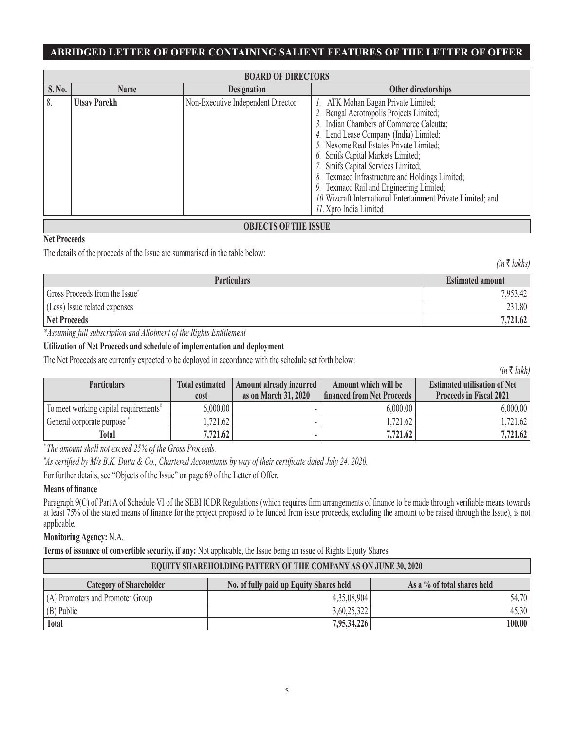|        | <b>BOARD OF DIRECTORS</b> |                                    |                                                                                                                                                                                                                                                                                                                                                                                                                                                                                    |  |  |
|--------|---------------------------|------------------------------------|------------------------------------------------------------------------------------------------------------------------------------------------------------------------------------------------------------------------------------------------------------------------------------------------------------------------------------------------------------------------------------------------------------------------------------------------------------------------------------|--|--|
| S. No. | <b>Name</b>               | <b>Designation</b>                 | Other directorships                                                                                                                                                                                                                                                                                                                                                                                                                                                                |  |  |
| 8.     | Utsav Parekh              | Non-Executive Independent Director | ATK Mohan Bagan Private Limited;<br>2. Bengal Aerotropolis Projects Limited;<br>3. Indian Chambers of Commerce Calcutta;<br>4. Lend Lease Company (India) Limited;<br>5. Nexome Real Estates Private Limited;<br>6. Smifs Capital Markets Limited;<br>7. Smifs Capital Services Limited;<br>8. Texmaco Infrastructure and Holdings Limited;<br>9. Texmaco Rail and Engineering Limited;<br>10. Wizcraft International Entertainment Private Limited; and<br>11. Xpro India Limited |  |  |

#### **OBJECTS OF THE ISSUE**

#### **Net Proceeds**

The details of the proceeds of the Issue are summarised in the table below:

 $(in \bar{\tau}$  *lakhs* $)$ 

| <b>Particulars</b>             | <b>Estimated amount</b> |
|--------------------------------|-------------------------|
| Gross Proceeds from the Issue* | 953.42                  |
| (Less) Issue related expenses  | 231.80                  |
| Net Proceeds                   | 721.62                  |

*\*Assuming full subscription and Allotment of the Rights Entitlement*

#### **Utilization of Net Proceeds and schedule of implementation and deployment**

The Net Proceeds are currently expected to be deployed in accordance with the schedule set forth below:

 $(in \bar{\mathcal{F}} lakh)$ 

| <b>Particulars</b>                                | <b>Total estimated</b><br>cost | Amount already incurred<br>as on March 31, 2020 | Amount which will be<br><b>financed from Net Proceeds</b> | <b>Estimated utilisation of Net</b><br><b>Proceeds in Fiscal 2021</b> |
|---------------------------------------------------|--------------------------------|-------------------------------------------------|-----------------------------------------------------------|-----------------------------------------------------------------------|
| To meet working capital requirements <sup>#</sup> | 6,000.00                       |                                                 | 6,000.00                                                  | 5,000.00                                                              |
| General corporate purpose                         | .721.62                        |                                                 | 721.62                                                    | 721.62                                                                |
| Total                                             | 7,721.62                       |                                                 | 7,721.62                                                  | 7,721.62                                                              |

*\* The amount shall not exceed 25% of the Gross Proceeds.* 

*# As certified by M/s B.K. Dutta & Co., Chartered Accountants by way of their certificate dated July 24, 2020.* 

For further details, see "Objects of the Issue" on page 69 of the Letter of Offer.

## **Means of finance**

Paragraph 9(C) of Part A of Schedule VI of the SEBI ICDR Regulations (which requires firm arrangements of finance to be made through verifiable means towards at least 75% of the stated means of finance for the project proposed to be funded from issue proceeds, excluding the amount to be raised through the Issue), is not applicable.

## **Monitoring Agency:** N.A.

**Terms of issuance of convertible security, if any:** Not applicable, the Issue being an issue of Rights Equity Shares.

| <b>EQUITY SHAREHOLDING PATTERN OF THE COMPANY AS ON JUNE 30, 2020</b> |                                         |                             |  |  |
|-----------------------------------------------------------------------|-----------------------------------------|-----------------------------|--|--|
| <b>Category of Shareholder</b>                                        | No. of fully paid up Equity Shares held | As a % of total shares held |  |  |
| (A) Promoters and Promoter Group                                      | 4,35,08,904                             | 54.70                       |  |  |
| $(B)$ Public                                                          | 3,60,25,322                             | 45.30                       |  |  |
| <b>Total</b>                                                          | 7,95,34,226                             | 100.00                      |  |  |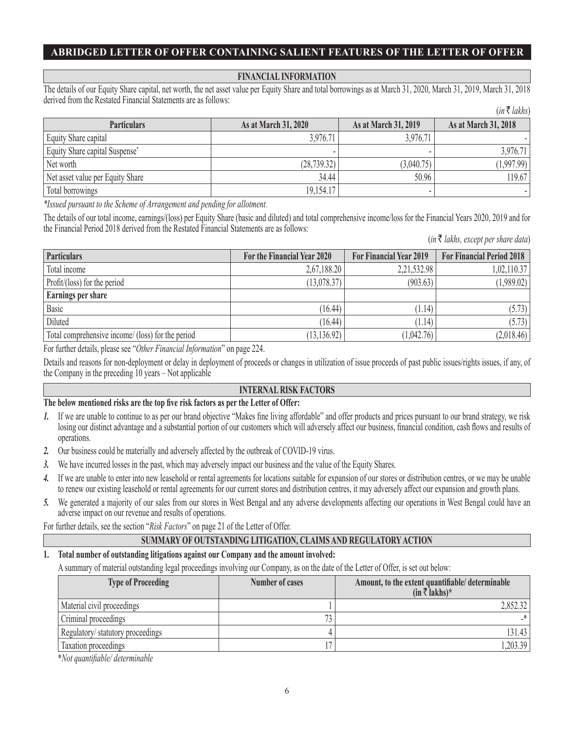## **FINANCIAL INFORMATION**

The details of our Equity Share capital, net worth, the net asset value per Equity Share and total borrowings as at March 31, 2020, March 31, 2019, March 31, 2018 derived from the Restated Financial Statements are as follows:

|                                  |                      |                      | ,,,, , ,,,,,,,,      |
|----------------------------------|----------------------|----------------------|----------------------|
| <b>Particulars</b>               | As at March 31, 2020 | As at March 31, 2019 | As at March 31, 2018 |
| Equity Share capital             | 3,976.71             | 3,976.71             |                      |
| Equity Share capital Suspense*   |                      |                      | 3,976.71             |
| Net worth                        | (28, 739.32)         | (3,040.75)           | ,997.99)             |
| Net asset value per Equity Share | 34.44                | 50.96                | 19.67                |
| Total borrowings                 | 19,154.17            |                      |                      |

*\*Issued pursuant to the Scheme of Arrangement and pending for allotment.*

The details of our total income, earnings/(loss) per Equity Share (basic and diluted) and total comprehensive income/loss for the Financial Years 2020, 2019 and for the Financial Period 2018 derived from the Restated Financial Statements are as follows:

(*in* ` *lakhs, except per share data*)

 $(in \bar{\mathcal{F}}$  *lakhs*)

| <b>Particulars</b>                                | <b>For the Financial Year 2020</b> | <b>For Financial Year 2019</b> | <b>For Financial Period 2018</b> |
|---------------------------------------------------|------------------------------------|--------------------------------|----------------------------------|
| Total income                                      | 2,67,188.20                        | 2,21,532.98                    | 1,02,110.37                      |
| $Profit/(loss)$ for the period                    | (13,078.37)                        | (903.63)                       | (1,989.02)                       |
| Earnings per share                                |                                    |                                |                                  |
| <b>Basic</b>                                      | (16.44)                            | (1.14)                         | (5.73)                           |
| Diluted                                           | (16.44)                            | (1.14)                         | (5.73)                           |
| Total comprehensive income/ (loss) for the period | (13, 136.92)                       | (1,042.76)                     | (2,018.46)                       |

For further details, please see "*Other Financial Information*" on page 224.

Details and reasons for non-deployment or delay in deployment of proceeds or changes in utilization of issue proceeds of past public issues/rights issues, if any, of the Company in the preceding 10 years – Not applicable

#### **INTERNAL RISK FACTORS**

## **The below mentioned risks are the top five risk factors as per the Letter of Offer:**

- *1.* If we are unable to continue to as per our brand objective "Makes fine living affordable" and offer products and prices pursuant to our brand strategy, we risk losing our distinct advantage and a substantial portion of our customers which will adversely affect our business, financial condition, cash flows and results of operations.
- *2.* Our business could be materially and adversely affected by the outbreak of COVID-19 virus.
- *3.* We have incurred losses in the past, which may adversely impact our business and the value of the Equity Shares.
- *4.* If we are unable to enter into new leasehold or rental agreements for locations suitable for expansion of our stores or distribution centres, or we may be unable to renew our existing leasehold or rental agreements for our current stores and distribution centres, it may adversely affect our expansion and growth plans.
- *5.* We generated a majority of our sales from our stores in West Bengal and any adverse developments affecting our operations in West Bengal could have an adverse impact on our revenue and results of operations.

For further details, see the section "*Risk Factors*" on page 21 of the Letter of Offer.

## **SUMMARY OF OUTSTANDING LITIGATION, CLAIMS AND REGULATORY ACTION**

## **1. Total number of outstanding litigations against our Company and the amount involved:**

A summary of material outstanding legal proceedings involving our Company, as on the date of the Letter of Offer, is set out below:

| <b>Type of Proceeding</b>        | Number of cases | Amount, to the extent quantifiable/ determinable<br>$(in \bar{\tau}$ lakhs)* |
|----------------------------------|-----------------|------------------------------------------------------------------------------|
| Material civil proceedings       |                 | 2,852.32                                                                     |
| Criminal proceedings             |                 |                                                                              |
| Regulatory/statutory proceedings |                 | 131.43                                                                       |
| Taxation proceedings             |                 | ,203.39                                                                      |

**\****Not quantifiable/ determinable*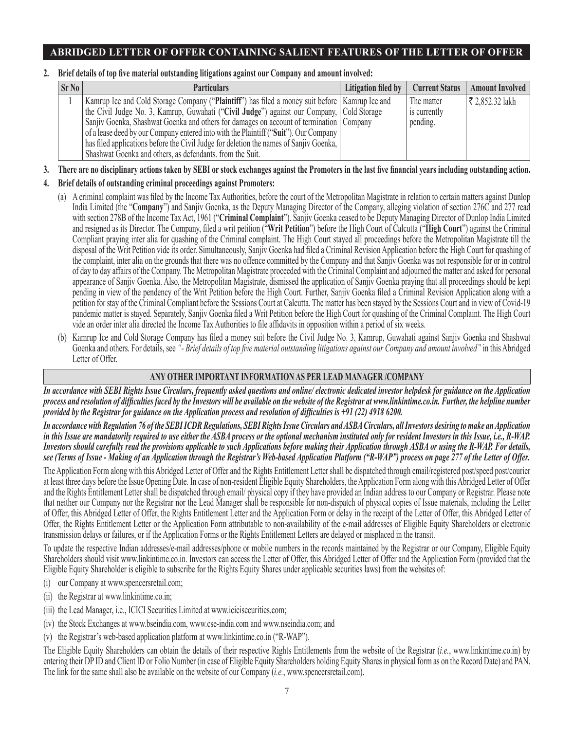## **2. Brief details of top five material outstanding litigations against our Company and amount involved:**

| $Sr$ No | <b>Particulars</b>                                                                               | Litigation filed by | <b>Current Status</b> | <b>Amount Involved</b>        |
|---------|--------------------------------------------------------------------------------------------------|---------------------|-----------------------|-------------------------------|
|         | Kamrup Ice and Cold Storage Company ("Plaintiff") has filed a money suit before   Kamrup Ice and |                     | The matter            | $\frac{1}{3}$ ₹ 2,852.32 lakh |
|         | the Civil Judge No. 3, Kamrup, Guwahati ("Civil Judge") against our Company, Cold Storage        |                     | is currently          |                               |
|         | Sanjiv Goenka, Shashwat Goenka and others for damages on account of termination   Company        |                     | pending.              |                               |
|         | of a lease deed by our Company entered into with the Plaintiff ("Suit"). Our Company             |                     |                       |                               |
|         | has filed applications before the Civil Judge for deletion the names of Sanjiv Goenka,           |                     |                       |                               |
|         | Shashwat Goenka and others, as defendants, from the Suit.                                        |                     |                       |                               |

**3. There are no disciplinary actions taken by SEBI or stock exchanges against the Promoters in the last five financial years including outstanding action.** 

## **4. Brief details of outstanding criminal proceedings against Promoters:**

- (a) A criminal complaint was filed by the Income Tax Authorities, before the court of the Metropolitan Magistrate in relation to certain matters against Dunlop India Limited (the "**Company**") and Sanjiv Goenka, as the Deputy Managing Director of the Company, alleging violation of section 276C and 277 read with section 278B of the Income Tax Act, 1961 ("**Criminal Complaint**"). Sanjiv Goenka ceased to be Deputy Managing Director of Dunlop India Limited and resigned as its Director. The Company, filed a writ petition ("**Writ Petition**") before the High Court of Calcutta ("**High Court**") against the Criminal Compliant praying inter alia for quashing of the Criminal complaint. The High Court stayed all proceedings before the Metropolitan Magistrate till the disposal of the Writ Petition vide its order. Simultaneously, Sanjiv Goenka had filed a Criminal Revision Application before the High Court for quashing of the complaint, inter alia on the grounds that there was no offence committed by the Company and that Sanjiv Goenka was not responsible for or in control of day to day affairs of the Company. The Metropolitan Magistrate proceeded with the Criminal Complaint and adjourned the matter and asked for personal appearance of Sanjiv Goenka. Also, the Metropolitan Magistrate, dismissed the application of Sanjiv Goenka praying that all proceedings should be kept pending in view of the pendency of the Writ Petition before the High Court. Further, Sanjiv Goenka filed a Criminal Revision Application along with a petition for stay of the Criminal Compliant before the Sessions Court at Calcutta. The matter has been stayed by the Sessions Court and in view of Covid-19 pandemic matter is stayed. Separately, Sanjiv Goenka filed a Writ Petition before the High Court for quashing of the Criminal Complaint. The High Court vide an order inter alia directed the Income Tax Authorities to file affidavits in opposition within a period of six weeks.
- (b) Kamrup Ice and Cold Storage Company has filed a money suit before the Civil Judge No. 3, Kamrup, Guwahati against Sanjiv Goenka and Shashwat Goenka and others. For details, see *"- Brief details of top five material outstanding litigations against our Company and amount involved"* in this Abridged Letter of Offer.

## **ANY OTHER IMPORTANT INFORMATION AS PER LEAD MANAGER /COMPANY**

*In accordance with SEBI Rights Issue Circulars, frequently asked questions and online/ electronic dedicated investor helpdesk for guidance on the Application process and resolution of difficulties faced by the Investors will be available on the website of the Registrar at www.linkintime.co.in. Further, the helpline number provided by the Registrar for guidance on the Application process and resolution of difficulties is +91 (22) 4918 6200.*

*In accordance with Regulation 76 of the SEBI ICDR Regulations, SEBI Rights Issue Circulars and ASBA Circulars, all Investors desiring to make an Application in this Issue are mandatorily required to use either the ASBA process or the optional mechanism instituted only for resident Investors in this Issue, i.e., R-WAP. Investors should carefully read the provisions applicable to such Applications before making their Application through ASBA or using the R-WAP. For details, see (Terms of Issue - Making of an Application through the Registrar's Web-based Application Platform ("R-WAP") process on page 277 of the Letter of Offer.*

The Application Form along with this Abridged Letter of Offer and the Rights Entitlement Letter shall be dispatched through email/registered post/speed post/courier at least three days before the Issue Opening Date. In case of non-resident Eligible Equity Shareholders, the Application Form along with this Abridged Letter of Offer and the Rights Entitlement Letter shall be dispatched through email/ physical copy if they have provided an Indian address to our Company or Registrar. Please note that neither our Company nor the Registrar nor the Lead Manager shall be responsible for non-dispatch of physical copies of Issue materials, including the Letter of Offer, this Abridged Letter of Offer, the Rights Entitlement Letter and the Application Form or delay in the receipt of the Letter of Offer, this Abridged Letter of Offer, the Rights Entitlement Letter or the Application Form attributable to non-availability of the e-mail addresses of Eligible Equity Shareholders or electronic transmission delays or failures, or if the Application Forms or the Rights Entitlement Letters are delayed or misplaced in the transit.

To update the respective Indian addresses/e-mail addresses/phone or mobile numbers in the records maintained by the Registrar or our Company, Eligible Equity Shareholders should visit www.linkintime.co.in. Investors can access the Letter of Offer, this Abridged Letter of Offer and the Application Form (provided that the Eligible Equity Shareholder is eligible to subscribe for the Rights Equity Shares under applicable securities laws) from the websites of:

- (i) our Company at www.spencersretail.com;
- (ii) the Registrar at www.linkintime.co.in;
- (iii) the Lead Manager, i.e., ICICI Securities Limited at www.icicisecurities.com;
- (iv) the Stock Exchanges at www.bseindia.com, www.cse-india.com and www.nseindia.com; and
- (v) the Registrar's web-based application platform at www.linkintime.co.in ("R-WAP").

The Eligible Equity Shareholders can obtain the details of their respective Rights Entitlements from the website of the Registrar (*i.e.*, www.linkintime.co.in) by entering their DP ID and Client ID or Folio Number (in case of Eligible Equity Shareholders holding Equity Shares in physical form as on the Record Date) and PAN. The link for the same shall also be available on the website of our Company (*i.e.*, www.spencersretail.com).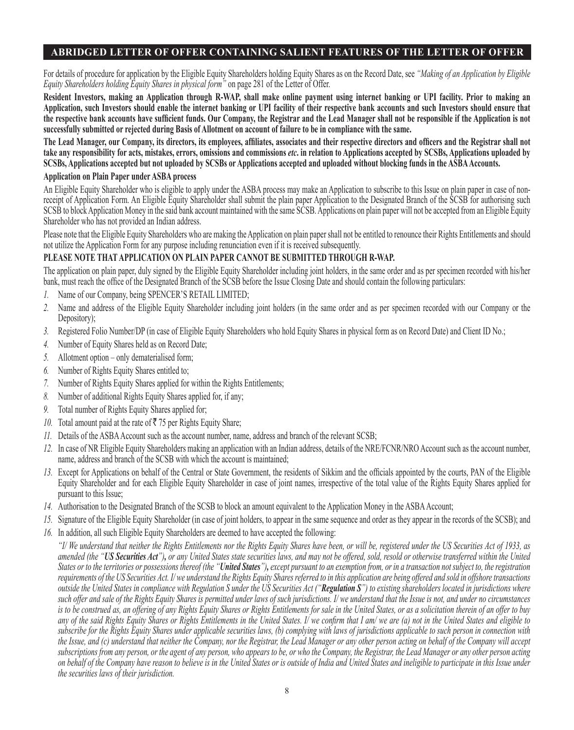For details of procedure for application by the Eligible Equity Shareholders holding Equity Shares as on the Record Date, see *"Making of an Application by Eligible Equity Shareholders holding Equity Shares in physical form"* on page 281 of the Letter of Offer.

**Resident Investors, making an Application through R-WAP, shall make online payment using internet banking or UPI facility. Prior to making an Application, such Investors should enable the internet banking or UPI facility of their respective bank accounts and such Investors should ensure that the respective bank accounts have sufficient funds. Our Company, the Registrar and the Lead Manager shall not be responsible if the Application is not successfully submitted or rejected during Basis of Allotment on account of failure to be in compliance with the same.**

**The Lead Manager, our Company, its directors, its employees, affiliates, associates and their respective directors and officers and the Registrar shall not take any responsibility for acts, mistakes, errors, omissions and commissions** *etc***. in relation to Applications accepted by SCSBs, Applications uploaded by SCSBs, Applications accepted but not uploaded by SCSBs or Applications accepted and uploaded without blocking funds in the ASBA Accounts.**

#### **Application on Plain Paper under ASBA process**

An Eligible Equity Shareholder who is eligible to apply under the ASBA process may make an Application to subscribe to this Issue on plain paper in case of nonreceipt of Application Form. An Eligible Equity Shareholder shall submit the plain paper Application to the Designated Branch of the SCSB for authorising such SCSB to block Application Money in the said bank account maintained with the same SCSB. Applications on plain paper will not be accepted from an Eligible Equity Shareholder who has not provided an Indian address.

Please note that the Eligible Equity Shareholders who are making the Application on plain paper shall not be entitled to renounce their Rights Entitlements and should not utilize the Application Form for any purpose including renunciation even if it is received subsequently.

## **PLEASE NOTE THAT APPLICATION ON PLAIN PAPER CANNOT BE SUBMITTED THROUGH R-WAP.**

The application on plain paper, duly signed by the Eligible Equity Shareholder including joint holders, in the same order and as per specimen recorded with his/her bank, must reach the office of the Designated Branch of the SCSB before the Issue Closing Date and should contain the following particulars:

- *1.* Name of our Company, being SPENCER'S RETAIL LIMITED;
- *2.* Name and address of the Eligible Equity Shareholder including joint holders (in the same order and as per specimen recorded with our Company or the Depository);
- *3.* Registered Folio Number/DP (in case of Eligible Equity Shareholders who hold Equity Shares in physical form as on Record Date) and Client ID No.;
- *4.* Number of Equity Shares held as on Record Date;
- *5.* Allotment option only dematerialised form;
- *6.* Number of Rights Equity Shares entitled to;
- *7.* Number of Rights Equity Shares applied for within the Rights Entitlements;
- *8.* Number of additional Rights Equity Shares applied for, if any;
- *9.* Total number of Rights Equity Shares applied for;
- *10.* Total amount paid at the rate of  $\bar{\tau}$  75 per Rights Equity Share;
- *11.* Details of the ASBA Account such as the account number, name, address and branch of the relevant SCSB;
- *12.* In case of NR Eligible Equity Shareholders making an application with an Indian address, details of the NRE/FCNR/NRO Account such as the account number, name, address and branch of the SCSB with which the account is maintained;
- *13.* Except for Applications on behalf of the Central or State Government, the residents of Sikkim and the officials appointed by the courts, PAN of the Eligible Equity Shareholder and for each Eligible Equity Shareholder in case of joint names, irrespective of the total value of the Rights Equity Shares applied for pursuant to this Issue;
- *14.* Authorisation to the Designated Branch of the SCSB to block an amount equivalent to the Application Money in the ASBA Account;
- *15.* Signature of the Eligible Equity Shareholder (in case of joint holders, to appear in the same sequence and order as they appear in the records of the SCSB); and
- *16.* In addition, all such Eligible Equity Shareholders are deemed to have accepted the following:
	- *"I/ We understand that neither the Rights Entitlements nor the Rights Equity Shares have been, or will be, registered under the US Securities Act of 1933, as amended (the "US Securities Act"), or any United States state securities laws, and may not be offered, sold, resold or otherwise transferred within the United States or to the territories or possessions thereof (the "United States"), except pursuant to an exemption from, or in a transaction not subject to, the registration requirements of the US Securities Act. I/ we understand the Rights Equity Shares referred to in this application are being offered and sold in offshore transactions outside the United States in compliance with Regulation S under the US Securities Act ("Regulation S") to existing shareholders located in jurisdictions where*  such offer and sale of the Rights Equity Shares is permitted under laws of such jurisdictions. I/ we understand that the Issue is not, and under no circumstances *is to be construed as, an offering of any Rights Equity Shares or Rights Entitlements for sale in the United States, or as a solicitation therein of an offer to buy any of the said Rights Equity Shares or Rights Entitlements in the United States. I/ we confirm that I am/ we are (a) not in the United States and eligible to subscribe for the Rights Equity Shares under applicable securities laws, (b) complying with laws of jurisdictions applicable to such person in connection with the Issue, and (c) understand that neither the Company, nor the Registrar, the Lead Manager or any other person acting on behalf of the Company will accept subscriptions from any person, or the agent of any person, who appears to be, or who the Company, the Registrar, the Lead Manager or any other person acting on behalf of the Company have reason to believe is in the United States or is outside of India and United States and ineligible to participate in this Issue under the securities laws of their jurisdiction.*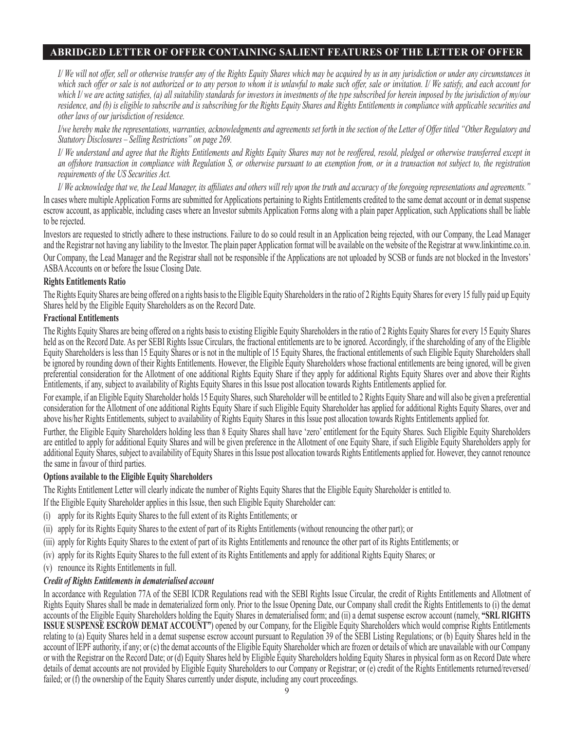*I/ We will not offer, sell or otherwise transfer any of the Rights Equity Shares which may be acquired by us in any jurisdiction or under any circumstances in which such offer or sale is not authorized or to any person to whom it is unlawful to make such offer, sale or invitation. I/ We satisfy, and each account for which I/ we are acting satisfies, (a) all suitability standards for investors in investments of the type subscribed for herein imposed by the jurisdiction of my/our residence, and (b) is eligible to subscribe and is subscribing for the Rights Equity Shares and Rights Entitlements in compliance with applicable securities and other laws of our jurisdiction of residence.*

*I/we hereby make the representations, warranties, acknowledgments and agreements set forth in the section of the Letter of Offer titled "Other Regulatory and Statutory Disclosures – Selling Restrictions" on page 269.* 

*I/ We understand and agree that the Rights Entitlements and Rights Equity Shares may not be reoffered, resold, pledged or otherwise transferred except in an offshore transaction in compliance with Regulation S, or otherwise pursuant to an exemption from, or in a transaction not subject to, the registration requirements of the US Securities Act.*

*I/ We acknowledge that we, the Lead Manager, its affiliates and others will rely upon the truth and accuracy of the foregoing representations and agreements."*

In cases where multiple Application Forms are submitted for Applications pertaining to Rights Entitlements credited to the same demat account or in demat suspense escrow account, as applicable, including cases where an Investor submits Application Forms along with a plain paper Application, such Applications shall be liable to be rejected.

Investors are requested to strictly adhere to these instructions. Failure to do so could result in an Application being rejected, with our Company, the Lead Manager and the Registrar not having any liability to the Investor. The plain paper Application format will be available on the website of the Registrar at www.linkintime.co.in. Our Company, the Lead Manager and the Registrar shall not be responsible if the Applications are not uploaded by SCSB or funds are not blocked in the Investors'

ASBA Accounts on or before the Issue Closing Date.

#### **Rights Entitlements Ratio**

The Rights Equity Shares are being offered on a rights basis to the Eligible Equity Shareholders in the ratio of 2 Rights Equity Shares for every 15 fully paid up Equity Shares held by the Eligible Equity Shareholders as on the Record Date.

#### **Fractional Entitlements**

The Rights Equity Shares are being offered on a rights basis to existing Eligible Equity Shareholders in the ratio of 2 Rights Equity Shares for every 15 Equity Shares held as on the Record Date. As per SEBI Rights Issue Circulars, the fractional entitlements are to be ignored. Accordingly, if the shareholding of any of the Eligible Equity Shareholders is less than 15 Equity Shares or is not in the multiple of 15 Equity Shares, the fractional entitlements of such Eligible Equity Shareholders shall be ignored by rounding down of their Rights Entitlements. However, the Eligible Equity Shareholders whose fractional entitlements are being ignored, will be given preferential consideration for the Allotment of one additional Rights Equity Share if they apply for additional Rights Equity Shares over and above their Rights Entitlements, if any, subject to availability of Rights Equity Shares in this Issue post allocation towards Rights Entitlements applied for.

For example, if an Eligible Equity Shareholder holds 15 Equity Shares, such Shareholder will be entitled to 2 Rights Equity Share and will also be given a preferential consideration for the Allotment of one additional Rights Equity Share if such Eligible Equity Shareholder has applied for additional Rights Equity Shares, over and above his/her Rights Entitlements, subject to availability of Rights Equity Shares in this Issue post allocation towards Rights Entitlements applied for.

Further, the Eligible Equity Shareholders holding less than 8 Equity Shares shall have 'zero' entitlement for the Equity Shares. Such Eligible Equity Shareholders are entitled to apply for additional Equity Shares and will be given preference in the Allotment of one Equity Share, if such Eligible Equity Shareholders apply for additional Equity Shares, subject to availability of Equity Shares in this Issue post allocation towards Rights Entitlements applied for. However, they cannot renounce the same in favour of third parties.

## **Options available to the Eligible Equity Shareholders**

The Rights Entitlement Letter will clearly indicate the number of Rights Equity Shares that the Eligible Equity Shareholder is entitled to.

If the Eligible Equity Shareholder applies in this Issue, then such Eligible Equity Shareholder can:

- (i) apply for its Rights Equity Shares to the full extent of its Rights Entitlements; or
- (ii) apply for its Rights Equity Shares to the extent of part of its Rights Entitlements (without renouncing the other part); or
- (iii) apply for Rights Equity Shares to the extent of part of its Rights Entitlements and renounce the other part of its Rights Entitlements; or
- (iv) apply for its Rights Equity Shares to the full extent of its Rights Entitlements and apply for additional Rights Equity Shares; or
- (v) renounce its Rights Entitlements in full.

#### *Credit of Rights Entitlements in dematerialised account*

In accordance with Regulation 77A of the SEBI ICDR Regulations read with the SEBI Rights Issue Circular, the credit of Rights Entitlements and Allotment of Rights Equity Shares shall be made in dematerialized form only. Prior to the Issue Opening Date, our Company shall credit the Rights Entitlements to (i) the demat accounts of the Eligible Equity Shareholders holding the Equity Shares in dematerialised form; and (ii) a demat suspense escrow account (namely, **"SRL RIGHTS ISSUE SUSPENSE ESCROW DEMAT ACCOUNT**") opened by our Company, for the Eligible Equity Shareholders which would comprise Rights Entitlements relating to (a) Equity Shares held in a demat suspense escrow account pursuant to Regulation 39 of the SEBI Listing Regulations; or (b) Equity Shares held in the account of IEPF authority, if any; or (c) the demat accounts of the Eligible Equity Shareholder which are frozen or details of which are unavailable with our Company or with the Registrar on the Record Date; or (d) Equity Shares held by Eligible Equity Shareholders holding Equity Shares in physical form as on Record Date where details of demat accounts are not provided by Eligible Equity Shareholders to our Company or Registrar; or (e) credit of the Rights Entitlements returned/reversed/ failed; or (f) the ownership of the Equity Shares currently under dispute, including any court proceedings.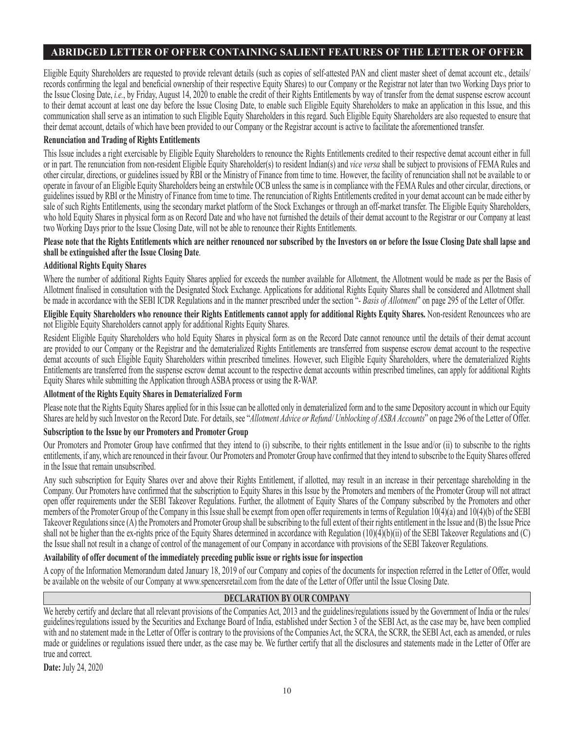Eligible Equity Shareholders are requested to provide relevant details (such as copies of self-attested PAN and client master sheet of demat account etc., details/ records confirming the legal and beneficial ownership of their respective Equity Shares) to our Company or the Registrar not later than two Working Days prior to the Issue Closing Date, *i.e.*, by Friday, August 14, 2020 to enable the credit of their Rights Entitlements by way of transfer from the demat suspense escrow account to their demat account at least one day before the Issue Closing Date, to enable such Eligible Equity Shareholders to make an application in this Issue, and this communication shall serve as an intimation to such Eligible Equity Shareholders in this regard. Such Eligible Equity Shareholders are also requested to ensure that their demat account, details of which have been provided to our Company or the Registrar account is active to facilitate the aforementioned transfer.

#### **Renunciation and Trading of Rights Entitlements**

This Issue includes a right exercisable by Eligible Equity Shareholders to renounce the Rights Entitlements credited to their respective demat account either in full or in part. The renunciation from non-resident Eligible Equity Shareholder(s) to resident Indian(s) and *vice versa* shall be subject to provisions of FEMA Rules and other circular, directions, or guidelines issued by RBI or the Ministry of Finance from time to time. However, the facility of renunciation shall not be available to or operate in favour of an Eligible Equity Shareholders being an erstwhile OCB unless the same is in compliance with the FEMA Rules and other circular, directions, or guidelines issued by RBI or the Ministry of Finance from time to time. The renunciation of Rights Entitlements credited in your demat account can be made either by sale of such Rights Entitlements, using the secondary market platform of the Stock Exchanges or through an off-market transfer. The Eligible Equity Shareholders, who hold Equity Shares in physical form as on Record Date and who have not furnished the details of their demat account to the Registrar or our Company at least two Working Days prior to the Issue Closing Date, will not be able to renounce their Rights Entitlements.

#### **Please note that the Rights Entitlements which are neither renounced nor subscribed by the Investors on or before the Issue Closing Date shall lapse and shall be extinguished after the Issue Closing Date**.

#### **Additional Rights Equity Shares**

Where the number of additional Rights Equity Shares applied for exceeds the number available for Allotment, the Allotment would be made as per the Basis of Allotment finalised in consultation with the Designated Stock Exchange. Applications for additional Rights Equity Shares shall be considered and Allotment shall be made in accordance with the SEBI ICDR Regulations and in the manner prescribed under the section "*- Basis of Allotment*" on page 295 of the Letter of Offer.

**Eligible Equity Shareholders who renounce their Rights Entitlements cannot apply for additional Rights Equity Shares.** Non-resident Renouncees who are not Eligible Equity Shareholders cannot apply for additional Rights Equity Shares.

Resident Eligible Equity Shareholders who hold Equity Shares in physical form as on the Record Date cannot renounce until the details of their demat account are provided to our Company or the Registrar and the dematerialized Rights Entitlements are transferred from suspense escrow demat account to the respective demat accounts of such Eligible Equity Shareholders within prescribed timelines. However, such Eligible Equity Shareholders, where the dematerialized Rights Entitlements are transferred from the suspense escrow demat account to the respective demat accounts within prescribed timelines, can apply for additional Rights Equity Shares while submitting the Application through ASBA process or using the R-WAP.

#### **Allotment of the Rights Equity Shares in Dematerialized Form**

Please note that the Rights Equity Shares applied for in this Issue can be allotted only in dematerialized form and to the same Depository account in which our Equity Shares are held by such Investor on the Record Date. For details, see "*Allotment Advice or Refund/ Unblocking of ASBA Accounts*" on page 296 of the Letter of Offer.

#### **Subscription to the Issue by our Promoters and Promoter Group**

Our Promoters and Promoter Group have confirmed that they intend to (i) subscribe, to their rights entitlement in the Issue and/or (ii) to subscribe to the rights entitlements, if any, which are renounced in their favour. Our Promoters and Promoter Group have confirmed that they intend to subscribe to the Equity Shares offered in the Issue that remain unsubscribed.

Any such subscription for Equity Shares over and above their Rights Entitlement, if allotted, may result in an increase in their percentage shareholding in the Company. Our Promoters have confirmed that the subscription to Equity Shares in this Issue by the Promoters and members of the Promoter Group will not attract open offer requirements under the SEBI Takeover Regulations. Further, the allotment of Equity Shares of the Company subscribed by the Promoters and other members of the Promoter Group of the Company in this Issue shall be exempt from open offer requirements in terms of Regulation 10(4)(a) and 10(4)(b) of the SEBI Takeover Regulations since (A) the Promoters and Promoter Group shall be subscribing to the full extent of their rights entitlement in the Issue and (B) the Issue Price shall not be higher than the ex-rights price of the Equity Shares determined in accordance with Regulation (10)(4)(b)(ii) of the SEBI Takeover Regulations and (C) the Issue shall not result in a change of control of the management of our Company in accordance with provisions of the SEBI Takeover Regulations.

#### **Availability of offer document of the immediately preceding public issue or rights issue for inspection**

A copy of the Information Memorandum dated January 18, 2019 of our Company and copies of the documents for inspection referred in the Letter of Offer, would be available on the website of our Company at www.spencersretail.com from the date of the Letter of Offer until the Issue Closing Date.

## **DECLARATION BY OUR COMPANY**

We hereby certify and declare that all relevant provisions of the Companies Act, 2013 and the guidelines/regulations issued by the Government of India or the rules/ guidelines/regulations issued by the Securities and Exchange Board of India, established under Section 3 of the SEBI Act, as the case may be, have been complied with and no statement made in the Letter of Offer is contrary to the provisions of the Companies Act, the SCRA, the SCRR, the SEBI Act, each as amended, or rules made or guidelines or regulations issued there under, as the case may be. We further certify that all the disclosures and statements made in the Letter of Offer are true and correct.

**Date:** July 24, 2020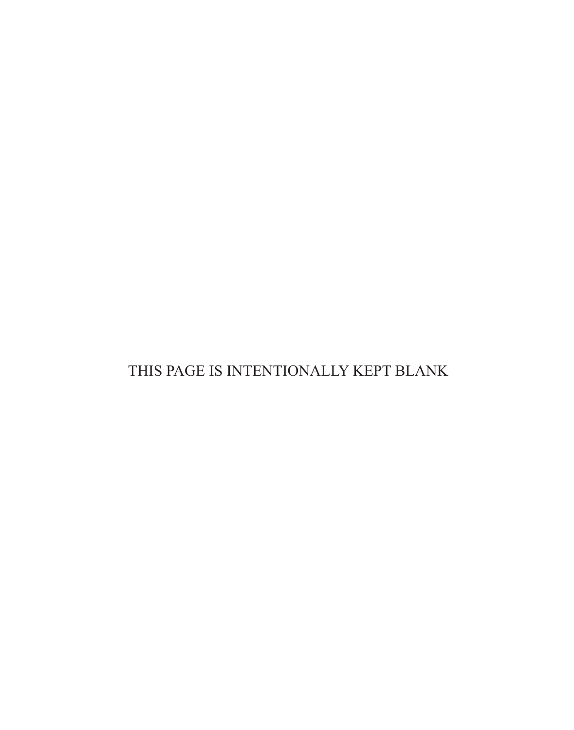## THIS PAGE IS INTENTIONALLY KEPT BLANK